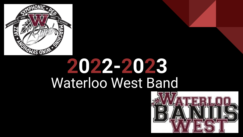

# Waterloo West Band **2022-2023**

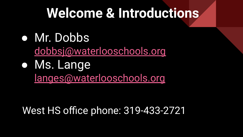#### **Welcome & Introductions**

● Mr. Dobbs

[dobbsj@waterlooschools.org](mailto:dobbsj@waterlooschools.org)

● Ms. Lange [langes@waterlooschools.org](mailto:langes@waterlooschools.org)

West HS office phone: 319-433-2721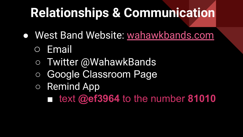## **Relationships & Communication**

- West Band Website: [wahawkbands.com](http://wahawkbands.com)
	- Email
	- Twitter @WahawkBands
	- Google Classroom Page
	- Remind App
		- text **@ef3964** to the number **81010**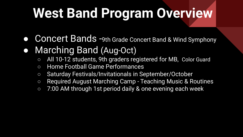# **West Band Program Overview**

- Concert Bands -9th Grade Concert Band & Wind Symphony
- Marching Band (Aug-Oct)
	- All 10-12 students, 9th graders registered for MB, Color Guard
	- Home Football Game Performances
	- Saturday Festivals/Invitationals in September/October
	- Required August Marching Camp Teaching Music & Routines
	- 7:00 AM through 1st period daily & one evening each week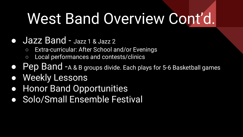# West Band Overview Cont'd.

#### ● Jazz Band - Jazz 1 & Jazz 2

- Extra-curricular: After School and/or Evenings
- Local performances and contests/clinics
- Pep Band -A & B groups divide. Each plays for 5-6 Basketball games
- Weekly Lessons
- Honor Band Opportunities
- **Solo/Small Ensemble Festival**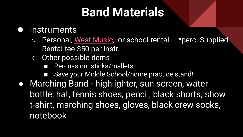#### **Band Materials**

#### ● Instruments

- Personal, [West Music,](https://www.westmusic.com/) or school rental \*perc. Supplied. Rental fee \$50 per instr.
- Other possible items
	- Percussion: sticks/mallets
	- Save your Middle School/home practice stand!
- Marching Band highlighter, sun screen, water bottle, hat, tennis shoes, pencil, black shorts, show t-shirt, marching shoes, gloves, black crew socks, notebook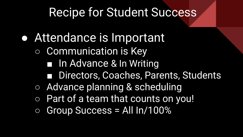#### Recipe for Student Success

- **Attendance is Important** 
	- Communication is Key
		- In Advance & In Writing
		- Directors, Coaches, Parents, Students
	- Advance planning & scheduling
	- Part of a team that counts on you!
	- $\circ$  Group Success = All In/100%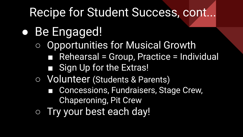#### Recipe for Student Success, cont...

#### ● Be Engaged!

- Opportunities for Musical Growth ■ Rehearsal = Group, Practice = Individual
	- Sign Up for the Extras!
- Volunteer (Students & Parents)
	- Concessions, Fundraisers, Stage Crew, Chaperoning, Pit Crew
- Try your best each day!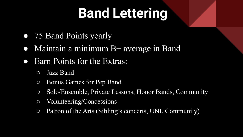## **Band Lettering**

- 75 Band Points yearly
- Maintain a minimum  $B$ + average in Band
- Earn Points for the Extras:
	- Jazz Band
	- Bonus Games for Pep Band
	- Solo/Ensemble, Private Lessons, Honor Bands, Community
	- Volunteering/Concessions
	- Patron of the Arts (Sibling's concerts, UNI, Community)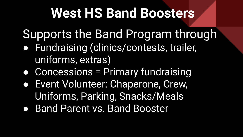### **West HS Band Boosters**

Supports the Band Program through

- Fundraising (clinics/contests, trailer, uniforms, extras)
- Concessions = Primary fundraising
- Event Volunteer: Chaperone, Crew, Uniforms, Parking, Snacks/Meals
- Band Parent vs. Band Booster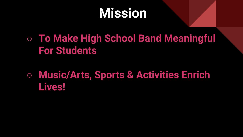### **Mission**

○ **To Make High School Band Meaningful For Students**

**○ Music/Arts, Sports & Activities Enrich Lives!**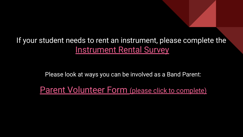If your student needs to rent an instrument, please complete the [Instrument Rental Survey](https://forms.gle/fnA1QShF95Mcee7n6)

Please look at ways you can be involved as a Band Parent:

[Parent Volunteer Form](https://docs.google.com/forms/d/e/1FAIpQLSchz1Vwgtr-YnAYyTb7WC5lbn_wPDJ1SjJ81Im93s8MS9pdfQ/viewform?usp=sf_link) (please click to complete)